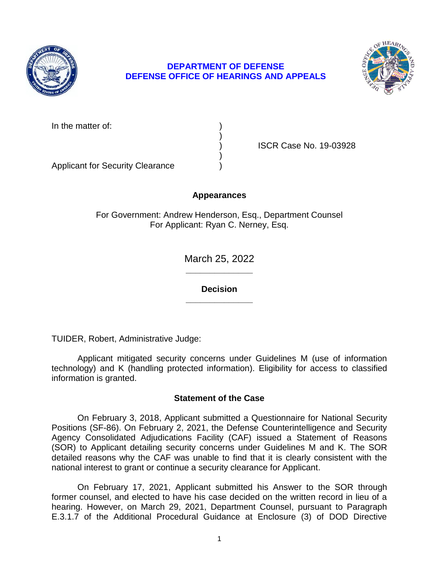

# **DEFENSE OFFICE OF HEARINGS AND APPEALS DEPARTMENT OF DEFENSE**



In the matter of:

) ISCR Case No. 19-03928

Applicant for Security Clearance )

# **Appearances**

)

)

For Government: Andrew Henderson, Esq., Department Counsel For Applicant: Ryan C. Nerney, Esq.

> **\_\_\_\_\_\_\_\_\_\_\_\_\_\_**  March 25, 2022

**\_\_\_\_\_\_\_\_\_\_\_\_\_\_ Decision** 

TUIDER, Robert, Administrative Judge:

 Applicant mitigated security concerns under Guidelines M (use of information technology) and K (handling protected information). Eligibility for access to classified information is granted.

# **Statement of the Case**

 On February 3, 2018, Applicant submitted a Questionnaire for National Security Positions (SF-86). On February 2, 2021, the Defense Counterintelligence and Security Agency Consolidated Adjudications Facility (CAF) issued a Statement of Reasons (SOR) to Applicant detailing security concerns under Guidelines M and K. The SOR detailed reasons why the CAF was unable to find that it is clearly consistent with the national interest to grant or continue a security clearance for Applicant.

On February 17, 2021, Applicant submitted his Answer to the SOR through former counsel, and elected to have his case decided on the written record in lieu of a hearing. However, on March 29, 2021, Department Counsel, pursuant to Paragraph E.3.1.7 of the Additional Procedural Guidance at Enclosure (3) of DOD Directive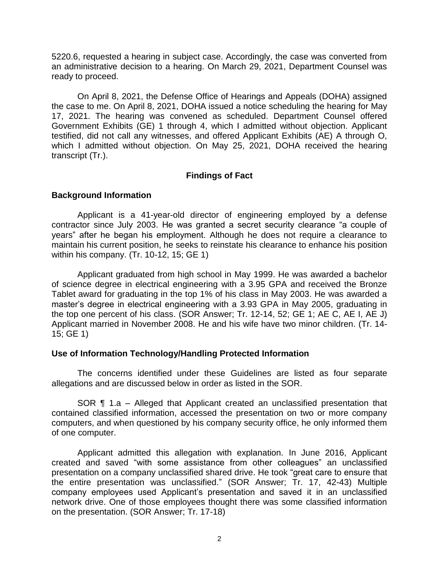5220.6, requested a hearing in subject case. Accordingly, the case was converted from an administrative decision to a hearing. On March 29, 2021, Department Counsel was ready to proceed.

 On April 8, 2021, the Defense Office of Hearings and Appeals (DOHA) assigned the case to me. On April 8, 2021, DOHA issued a notice scheduling the hearing for May 17, 2021. The hearing was convened as scheduled. Department Counsel offered testified, did not call any witnesses, and offered Applicant Exhibits (AE) A through O, which I admitted without objection. On May 25, 2021, DOHA received the hearing Government Exhibits (GE) 1 through 4, which I admitted without objection. Applicant transcript (Tr.).

### **Findings of Fact**

### **Background Information**

 Applicant is a 41-year-old director of engineering employed by a defense contractor since July 2003. He was granted a secret security clearance "a couple of years" after he began his employment. Although he does not require a clearance to maintain his current position, he seeks to reinstate his clearance to enhance his position within his company. (Tr. 10-12, 15; GE 1)

Applicant graduated from high school in May 1999. He was awarded a bachelor of science degree in electrical engineering with a 3.95 GPA and received the Bronze Tablet award for graduating in the top 1% of his class in May 2003. He was awarded a master's degree in electrical engineering with a 3.93 GPA in May 2005, graduating in the top one percent of his class. (SOR Answer; Tr. 12-14, 52; GE 1; AE C, AE I, AE J) Applicant married in November 2008. He and his wife have two minor children. (Tr. 14- 15; GE 1)

### **Use of Information Technology/Handling Protected Information**

 The concerns identified under these Guidelines are listed as four separate allegations and are discussed below in order as listed in the SOR.

 SOR ¶ 1.a – Alleged that Applicant created an unclassified presentation that contained classified information, accessed the presentation on two or more company computers, and when questioned by his company security office, he only informed them of one computer.

 Applicant admitted this allegation with explanation. In June 2016, Applicant created and saved "with some assistance from other colleagues" an unclassified presentation on a company unclassified shared drive. He took "great care to ensure that company employees used Applicant's presentation and saved it in an unclassified network drive. One of those employees thought there was some classified information the entire presentation was unclassified." (SOR Answer; Tr. 17, 42-43) Multiple on the presentation. (SOR Answer; Tr. 17-18)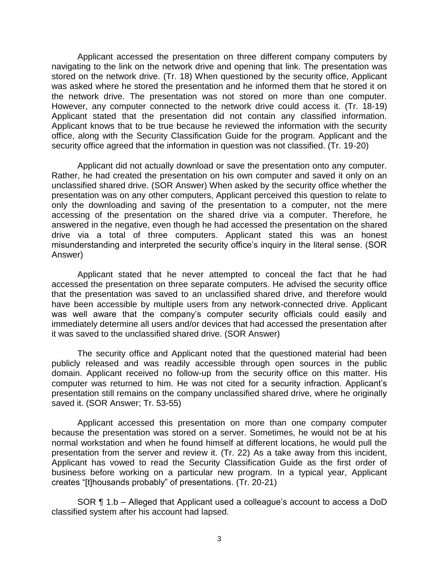Applicant accessed the presentation on three different company computers by navigating to the link on the network drive and opening that link. The presentation was stored on the network drive. (Tr. 18) When questioned by the security office, Applicant was asked where he stored the presentation and he informed them that he stored it on the network drive. The presentation was not stored on more than one computer. However, any computer connected to the network drive could access it. (Tr. 18-19) Applicant stated that the presentation did not contain any classified information. Applicant knows that to be true because he reviewed the information with the security office, along with the Security Classification Guide for the program. Applicant and the security office agreed that the information in question was not classified. (Tr. 19-20)

 Applicant did not actually download or save the presentation onto any computer. Rather, he had created the presentation on his own computer and saved it only on an unclassified shared drive. (SOR Answer) When asked by the security office whether the presentation was on any other computers, Applicant perceived this question to relate to only the downloading and saving of the presentation to a computer, not the mere accessing of the presentation on the shared drive via a computer. Therefore, he answered in the negative, even though he had accessed the presentation on the shared drive via a total of three computers. Applicant stated this was an honest misunderstanding and interpreted the security office's inquiry in the literal sense. (SOR Answer)

 Applicant stated that he never attempted to conceal the fact that he had accessed the presentation on three separate computers. He advised the security office that the presentation was saved to an unclassified shared drive, and therefore would have been accessible by multiple users from any network-connected drive. Applicant was well aware that the company's computer security officials could easily and immediately determine all users and/or devices that had accessed the presentation after it was saved to the unclassified shared drive. (SOR Answer)

 The security office and Applicant noted that the questioned material had been publicly released and was readily accessible through open sources in the public domain. Applicant received no follow-up from the security office on this matter. His computer was returned to him. He was not cited for a security infraction. Applicant's presentation still remains on the company unclassified shared drive, where he originally saved it. (SOR Answer; Tr. 53-55)

 Applicant accessed this presentation on more than one company computer because the presentation was stored on a server. Sometimes, he would not be at his normal workstation and when he found himself at different locations, he would pull the presentation from the server and review it. (Tr. 22) As a take away from this incident, Applicant has vowed to read the Security Classification Guide as the first order of business before working on a particular new program. In a typical year, Applicant creates "[t]housands probably" of presentations. (Tr. 20-21)

 SOR ¶ 1.b – Alleged that Applicant used a colleague's account to access a DoD classified system after his account had lapsed.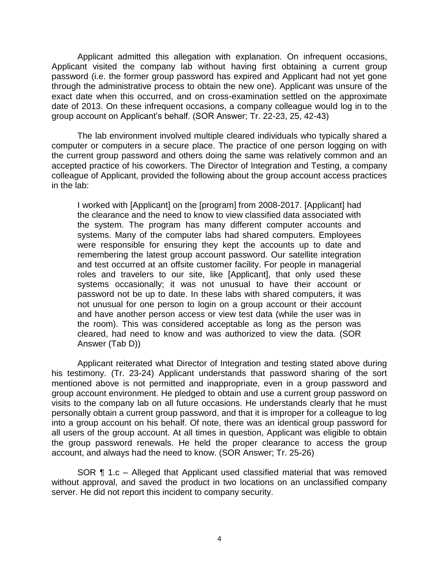Applicant admitted this allegation with explanation. On infrequent occasions, Applicant visited the company lab without having first obtaining a current group password (i.e. the former group password has expired and Applicant had not yet gone through the administrative process to obtain the new one). Applicant was unsure of the exact date when this occurred, and on cross-examination settled on the approximate date of 2013. On these infrequent occasions, a company colleague would log in to the group account on Applicant's behalf. (SOR Answer; Tr. 22-23, 25, 42-43)

 The lab environment involved multiple cleared individuals who typically shared a computer or computers in a secure place. The practice of one person logging on with the current group password and others doing the same was relatively common and an accepted practice of his coworkers. The Director of Integration and Testing, a company colleague of Applicant, provided the following about the group account access practices in the lab:

I worked with [Applicant] on the [program] from 2008-2017. [Applicant] had the clearance and the need to know to view classified data associated with the system. The program has many different computer accounts and systems. Many of the computer labs had shared computers. Employees were responsible for ensuring they kept the accounts up to date and remembering the latest group account password. Our satellite integration and test occurred at an offsite customer facility. For people in managerial roles and travelers to our site, like [Applicant], that only used these systems occasionally; it was not unusual to have their account or password not be up to date. In these labs with shared computers, it was not unusual for one person to login on a group account or their account and have another person access or view test data (while the user was in the room). This was considered acceptable as long as the person was cleared, had need to know and was authorized to view the data. (SOR Answer (Tab D))

 Applicant reiterated what Director of Integration and testing stated above during his testimony. (Tr. 23-24) Applicant understands that password sharing of the sort mentioned above is not permitted and inappropriate, even in a group password and group account environment. He pledged to obtain and use a current group password on visits to the company lab on all future occasions. He understands clearly that he must personally obtain a current group password, and that it is improper for a colleague to log into a group account on his behalf. Of note, there was an identical group password for all users of the group account. At all times in question, Applicant was eligible to obtain the group password renewals. He held the proper clearance to access the group account, and always had the need to know. (SOR Answer; Tr. 25-26)

SOR **[1** 1.c – Alleged that Applicant used classified material that was removed without approval, and saved the product in two locations on an unclassified company server. He did not report this incident to company security.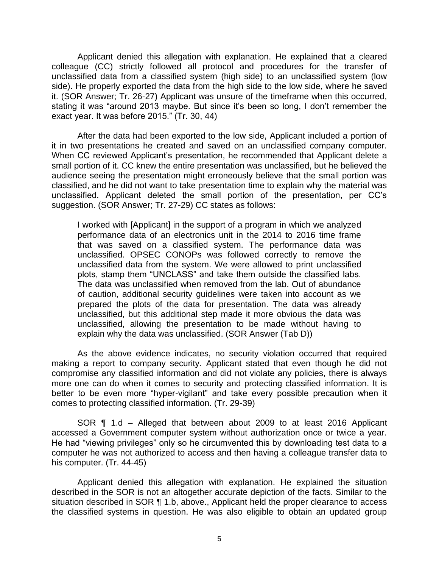Applicant denied this allegation with explanation. He explained that a cleared colleague (CC) strictly followed all protocol and procedures for the transfer of unclassified data from a classified system (high side) to an unclassified system (low side). He properly exported the data from the high side to the low side, where he saved it. (SOR Answer; Tr. 26-27) Applicant was unsure of the timeframe when this occurred, stating it was "around 2013 maybe. But since it's been so long, I don't remember the exact year. It was before 2015." (Tr. 30, 44)

After the data had been exported to the low side, Applicant included a portion of it in two presentations he created and saved on an unclassified company computer. When CC reviewed Applicant's presentation, he recommended that Applicant delete a small portion of it. CC knew the entire presentation was unclassified, but he believed the audience seeing the presentation might erroneously believe that the small portion was classified, and he did not want to take presentation time to explain why the material was unclassified. Applicant deleted the small portion of the presentation, per CC's suggestion. (SOR Answer; Tr. 27-29) CC states as follows:

I worked with [Applicant] in the support of a program in which we analyzed performance data of an electronics unit in the 2014 to 2016 time frame that was saved on a classified system. The performance data was unclassified. OPSEC CONOPs was followed correctly to remove the unclassified data from the system. We were allowed to print unclassified plots, stamp them "UNCLASS" and take them outside the classified labs. The data was unclassified when removed from the lab. Out of abundance of caution, additional security guidelines were taken into account as we prepared the plots of the data for presentation. The data was already unclassified, but this additional step made it more obvious the data was unclassified, allowing the presentation to be made without having to explain why the data was unclassified. (SOR Answer (Tab D))

 As the above evidence indicates, no security violation occurred that required making a report to company security. Applicant stated that even though he did not compromise any classified information and did not violate any policies, there is always more one can do when it comes to security and protecting classified information. It is better to be even more "hyper-vigilant" and take every possible precaution when it comes to protecting classified information. (Tr. 29-39)

SOR ¶ 1.d – Alleged that between about 2009 to at least 2016 Applicant accessed a Government computer system without authorization once or twice a year. He had "viewing privileges" only so he circumvented this by downloading test data to a computer he was not authorized to access and then having a colleague transfer data to his computer. (Tr. 44-45)

 Applicant denied this allegation with explanation. He explained the situation described in the SOR is not an altogether accurate depiction of the facts. Similar to the situation described in SOR ¶ 1.b, above., Applicant held the proper clearance to access the classified systems in question. He was also eligible to obtain an updated group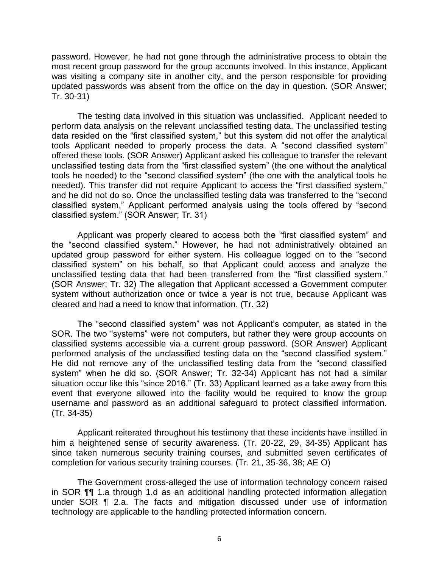password. However, he had not gone through the administrative process to obtain the most recent group password for the group accounts involved. In this instance, Applicant was visiting a company site in another city, and the person responsible for providing updated passwords was absent from the office on the day in question. (SOR Answer; Tr. 30-31)

 The testing data involved in this situation was unclassified. Applicant needed to perform data analysis on the relevant unclassified testing data. The unclassified testing data resided on the "first classified system," but this system did not offer the analytical tools Applicant needed to properly process the data. A "second classified system" unclassified testing data from the "first classified system" (the one without the analytical tools he needed) to the "second classified system" (the one with the analytical tools he needed). This transfer did not require Applicant to access the "first classified system," and he did not do so. Once the unclassified testing data was transferred to the "second classified system," Applicant performed analysis using the tools offered by "second offered these tools. (SOR Answer) Applicant asked his colleague to transfer the relevant classified system." (SOR Answer; Tr. 31)

 Applicant was properly cleared to access both the "first classified system" and the "second classified system." However, he had not administratively obtained an updated group password for either system. His colleague logged on to the "second classified system" on his behalf, so that Applicant could access and analyze the unclassified testing data that had been transferred from the "first classified system." (SOR Answer; Tr. 32) The allegation that Applicant accessed a Government computer system without authorization once or twice a year is not true, because Applicant was cleared and had a need to know that information. (Tr. 32)

 The "second classified system" was not Applicant's computer, as stated in the SOR. The two "systems" were not computers, but rather they were group accounts on classified systems accessible via a current group password. (SOR Answer) Applicant performed analysis of the unclassified testing data on the "second classified system." He did not remove any of the unclassified testing data from the "second classified system" when he did so. (SOR Answer; Tr. 32-34) Applicant has not had a similar situation occur like this "since 2016." (Tr. 33) Applicant learned as a take away from this event that everyone allowed into the facility would be required to know the group username and password as an additional safeguard to protect classified information. (Tr. 34-35)

 Applicant reiterated throughout his testimony that these incidents have instilled in him a heightened sense of security awareness. (Tr. 20-22, 29, 34-35) Applicant has since taken numerous security training courses, and submitted seven certificates of completion for various security training courses. (Tr. 21, 35-36, 38; AE O)

 The Government cross-alleged the use of information technology concern raised in SOR ¶¶ 1.a through 1.d as an additional handling protected information allegation under SOR ¶ 2.a. The facts and mitigation discussed under use of information technology are applicable to the handling protected information concern.<br>6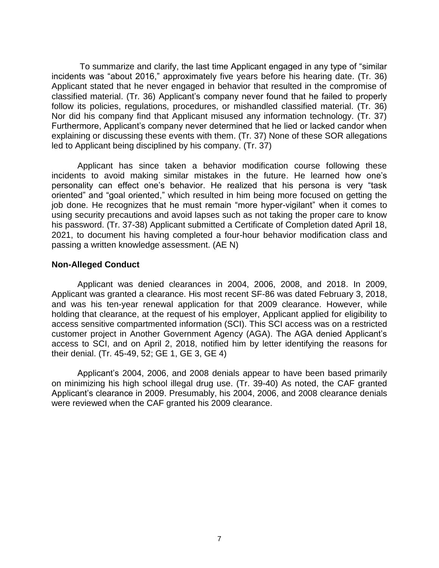To summarize and clarify, the last time Applicant engaged in any type of "similar Applicant stated that he never engaged in behavior that resulted in the compromise of classified material. (Tr. 36) Applicant's company never found that he failed to properly follow its policies, regulations, procedures, or mishandled classified material. (Tr. 36) Nor did his company find that Applicant misused any information technology. (Tr. 37) Furthermore, Applicant's company never determined that he lied or lacked candor when incidents was "about 2016," approximately five years before his hearing date. (Tr. 36) explaining or discussing these events with them. (Tr. 37) None of these SOR allegations led to Applicant being disciplined by his company. (Tr. 37)

 Applicant has since taken a behavior modification course following these incidents to avoid making similar mistakes in the future. He learned how one's personality can effect one's behavior. He realized that his persona is very "task oriented" and "goal oriented," which resulted in him being more focused on getting the using security precautions and avoid lapses such as not taking the proper care to know his password. (Tr. 37-38) Applicant submitted a Certificate of Completion dated April 18, 2021, to document his having completed a four-hour behavior modification class and job done. He recognizes that he must remain "more hyper-vigilant" when it comes to passing a written knowledge assessment. (AE N)

### **Non-Alleged Conduct**

 Applicant was denied clearances in 2004, 2006, 2008, and 2018. In 2009, Applicant was granted a clearance. His most recent SF-86 was dated February 3, 2018, holding that clearance, at the request of his employer, Applicant applied for eligibility to access sensitive compartmented information (SCI). This SCI access was on a restricted customer project in Another Government Agency (AGA). The AGA denied Applicant's access to SCI, and on April 2, 2018, notified him by letter identifying the reasons for and was his ten-year renewal application for that 2009 clearance. However, while their denial. (Tr. 45-49, 52; GE 1, GE 3, GE 4)

 Applicant's 2004, 2006, and 2008 denials appear to have been based primarily Applicant's clearance in 2009. Presumably, his 2004, 2006, and 2008 clearance denials on minimizing his high school illegal drug use. (Tr. 39-40) As noted, the CAF granted were reviewed when the CAF granted his 2009 clearance.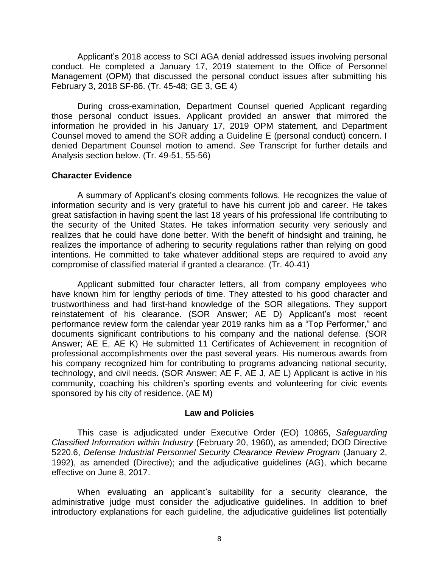Applicant's 2018 access to SCI AGA denial addressed issues involving personal conduct. He completed a January 17, 2019 statement to the Office of Personnel Management (OPM) that discussed the personal conduct issues after submitting his February 3, 2018 SF-86. (Tr. 45-48; GE 3, GE 4)

 those personal conduct issues. Applicant provided an answer that mirrored the information he provided in his January 17, 2019 OPM statement, and Department Counsel moved to amend the SOR adding a Guideline E (personal conduct) concern. I denied Department Counsel motion to amend. *See* Transcript for further details and During cross-examination, Department Counsel queried Applicant regarding Analysis section below. (Tr. 49-51, 55-56)

### **Character Evidence**

 A summary of Applicant's closing comments follows. He recognizes the value of information security and is very grateful to have his current job and career. He takes great satisfaction in having spent the last 18 years of his professional life contributing to the security of the United States. He takes information security very seriously and realizes that he could have done better. With the benefit of hindsight and training, he realizes the importance of adhering to security regulations rather than relying on good intentions. He committed to take whatever additional steps are required to avoid any compromise of classified material if granted a clearance. (Tr. 40-41)

 Applicant submitted four character letters, all from company employees who have known him for lengthy periods of time. They attested to his good character and trustworthiness and had first-hand knowledge of the SOR allegations. They support performance review form the calendar year 2019 ranks him as a "Top Performer," and documents significant contributions to his company and the national defense. (SOR his company recognized him for contributing to programs advancing national security, technology, and civil needs. (SOR Answer; AE F, AE J, AE L) Applicant is active in his reinstatement of his clearance. (SOR Answer; AE D) Applicant's most recent Answer; AE E, AE K) He submitted 11 Certificates of Achievement in recognition of professional accomplishments over the past several years. His numerous awards from community, coaching his children's sporting events and volunteering for civic events sponsored by his city of residence. (AE M)

#### **Law and Policies**

 *Classified Information within Industry* (February 20, 1960), as amended; DOD Directive 5220.6, *Defense Industrial Personnel Security Clearance Review Program* (January 2, 1992), as amended (Directive); and the adjudicative guidelines (AG), which became This case is adjudicated under Executive Order (EO) 10865, *Safeguarding*  effective on June 8, 2017.

 When evaluating an applicant's suitability for a security clearance, the administrative judge must consider the adjudicative guidelines. In addition to brief introductory explanations for each guideline, the adjudicative guidelines list potentially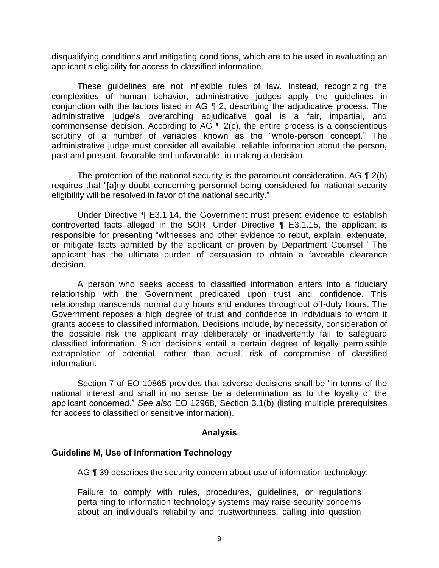disqualifying conditions and mitigating conditions, which are to be used in evaluating an applicant's eligibility for access to classified information.

 These guidelines are not inflexible rules of law. Instead, recognizing the complexities of human behavior, administrative judges apply the guidelines in conjunction with the factors listed in AG ¶ 2, describing the adjudicative process. The commonsense decision. According to AG ¶ 2(c), the entire process is a conscientious scrutiny of a number of variables known as the "whole-person concept." The administrative judge must consider all available, reliable information about the person, administrative judge's overarching adjudicative goal is a fair, impartial, and past and present, favorable and unfavorable, in making a decision.

The protection of the national security is the paramount consideration. AG  $\P$  2(b) eligibility will be resolved in favor of the national security." requires that "[a]ny doubt concerning personnel being considered for national security

 Under Directive ¶ E3.1.14, the Government must present evidence to establish controverted facts alleged in the SOR. Under Directive ¶ E3.1.15, the applicant is responsible for presenting "witnesses and other evidence to rebut, explain, extenuate, or mitigate facts admitted by the applicant or proven by Department Counsel." The applicant has the ultimate burden of persuasion to obtain a favorable clearance decision.

 A person who seeks access to classified information enters into a fiduciary relationship with the Government predicated upon trust and confidence. This relationship transcends normal duty hours and endures throughout off-duty hours. The Government reposes a high degree of trust and confidence in individuals to whom it grants access to classified information. Decisions include, by necessity, consideration of the possible risk the applicant may deliberately or inadvertently fail to safeguard classified information. Such decisions entail a certain degree of legally permissible extrapolation of potential, rather than actual, risk of compromise of classified information.

 Section 7 of EO 10865 provides that adverse decisions shall be "in terms of the national interest and shall in no sense be a determination as to the loyalty of the applicant concerned." *See also* EO 12968, Section 3.1(b) (listing multiple prerequisites for access to classified or sensitive information).

### **Analysis**

# **Guideline M, Use of Information Technology**

AG ¶ 39 describes the security concern about use of information technology:

Failure to comply with rules, procedures, guidelines, or regulations pertaining to information technology systems may raise security concerns about an individual's reliability and trustworthiness, calling into question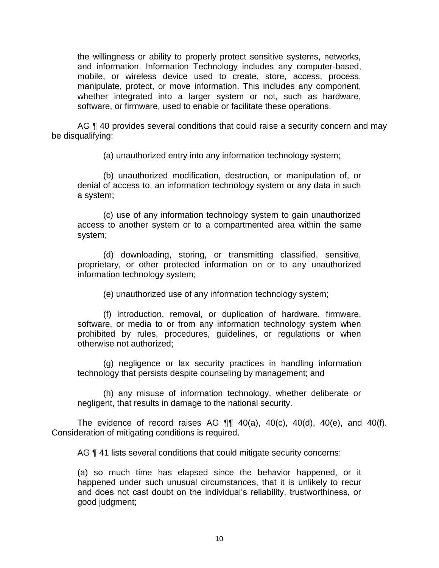the willingness or ability to properly protect sensitive systems, networks, and information. Information Technology includes any computer-based, mobile, or wireless device used to create, store, access, process, manipulate, protect, or move information. This includes any component, whether integrated into a larger system or not, such as hardware, software, or firmware, used to enable or facilitate these operations.

AG ¶ 40 provides several conditions that could raise a security concern and may be disqualifying:

(a) unauthorized entry into any information technology system;

(b) unauthorized modification, destruction, or manipulation of, or denial of access to, an information technology system or any data in such a system;

(c) use of any information technology system to gain unauthorized access to another system or to a compartmented area within the same system;

(d) downloading, storing, or transmitting classified, sensitive, proprietary, or other protected information on or to any unauthorized information technology system;

(e) unauthorized use of any information technology system;

(f) introduction, removal, or duplication of hardware, firmware, software, or media to or from any information technology system when prohibited by rules, procedures, guidelines, or regulations or when otherwise not authorized;

(g) negligence or lax security practices in handling information technology that persists despite counseling by management; and

(h) any misuse of information technology, whether deliberate or negligent, that results in damage to the national security.

The evidence of record raises AG  $\P\P$  40(a), 40(c), 40(d), 40(e), and 40(f). Consideration of mitigating conditions is required.

AG  $\P$  41 lists several conditions that could mitigate security concerns:

(a) so much time has elapsed since the behavior happened, or it happened under such unusual circumstances, that it is unlikely to recur and does not cast doubt on the individual's reliability, trustworthiness, or good judgment;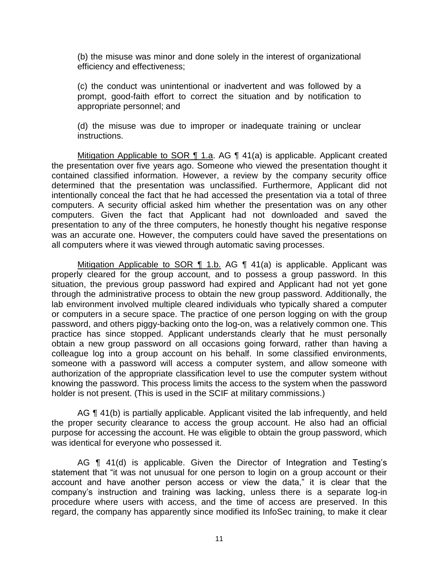(b) the misuse was minor and done solely in the interest of organizational efficiency and effectiveness;

(c) the conduct was unintentional or inadvertent and was followed by a prompt, good-faith effort to correct the situation and by notification to appropriate personnel; and

(d) the misuse was due to improper or inadequate training or unclear instructions.

Mitigation Applicable to SOR  $\P$  1.a. AG  $\P$  41(a) is applicable. Applicant created the presentation over five years ago. Someone who viewed the presentation thought it contained classified information. However, a review by the company security office determined that the presentation was unclassified. Furthermore, Applicant did not intentionally conceal the fact that he had accessed the presentation via a total of three computers. A security official asked him whether the presentation was on any other computers. Given the fact that Applicant had not downloaded and saved the presentation to any of the three computers, he honestly thought his negative response was an accurate one. However, the computers could have saved the presentations on all computers where it was viewed through automatic saving processes.

Mitigation Applicable to SOR  $\P$  1.b. AG  $\P$  41(a) is applicable. Applicant was properly cleared for the group account, and to possess a group password. In this situation, the previous group password had expired and Applicant had not yet gone through the administrative process to obtain the new group password. Additionally, the lab environment involved multiple cleared individuals who typically shared a computer or computers in a secure space. The practice of one person logging on with the group password, and others piggy-backing onto the log-on, was a relatively common one. This practice has since stopped. Applicant understands clearly that he must personally obtain a new group password on all occasions going forward, rather than having a colleague log into a group account on his behalf. In some classified environments, someone with a password will access a computer system, and allow someone with authorization of the appropriate classification level to use the computer system without knowing the password. This process limits the access to the system when the password holder is not present. (This is used in the SCIF at military commissions.)

AG ¶ 41(b) is partially applicable. Applicant visited the lab infrequently, and held the proper security clearance to access the group account. He also had an official purpose for accessing the account. He was eligible to obtain the group password, which was identical for everyone who possessed it.

AG ¶ 41(d) is applicable. Given the Director of Integration and Testing's statement that "it was not unusual for one person to login on a group account or their account and have another person access or view the data," it is clear that the company's instruction and training was lacking, unless there is a separate log-in procedure where users with access, and the time of access are preserved. In this regard, the company has apparently since modified its InfoSec training, to make it clear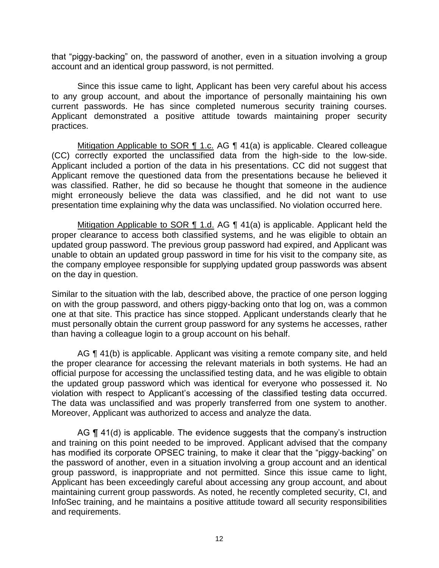that "piggy-backing" on, the password of another, even in a situation involving a group account and an identical group password, is not permitted.

 Since this issue came to light, Applicant has been very careful about his access to any group account, and about the importance of personally maintaining his own current passwords. He has since completed numerous security training courses. Applicant demonstrated a positive attitude towards maintaining proper security practices.

Mitigation Applicable to SOR ¶ 1.c. AG ¶ 41(a) is applicable. Cleared colleague (CC) correctly exported the unclassified data from the high-side to the low-side. Applicant included a portion of the data in his presentations. CC did not suggest that Applicant remove the questioned data from the presentations because he believed it was classified. Rather, he did so because he thought that someone in the audience might erroneously believe the data was classified, and he did not want to use presentation time explaining why the data was unclassified. No violation occurred here.

Mitigation Applicable to SOR  $\P$  1.d. AG  $\P$  41(a) is applicable. Applicant held the proper clearance to access both classified systems, and he was eligible to obtain an updated group password. The previous group password had expired, and Applicant was unable to obtain an updated group password in time for his visit to the company site, as the company employee responsible for supplying updated group passwords was absent on the day in question.

 Similar to the situation with the lab, described above, the practice of one person logging on with the group password, and others piggy-backing onto that log on, was a common one at that site. This practice has since stopped. Applicant understands clearly that he must personally obtain the current group password for any systems he accesses, rather than having a colleague login to a group account on his behalf.

AG ¶ 41(b) is applicable. Applicant was visiting a remote company site, and held the proper clearance for accessing the relevant materials in both systems. He had an official purpose for accessing the unclassified testing data, and he was eligible to obtain the updated group password which was identical for everyone who possessed it. No violation with respect to Applicant's accessing of the classified testing data occurred. The data was unclassified and was properly transferred from one system to another. Moreover, Applicant was authorized to access and analyze the data.

AG ¶ 41(d) is applicable. The evidence suggests that the company's instruction and training on this point needed to be improved. Applicant advised that the company has modified its corporate OPSEC training, to make it clear that the "piggy-backing" on the password of another, even in a situation involving a group account and an identical group password, is inappropriate and not permitted. Since this issue came to light, Applicant has been exceedingly careful about accessing any group account, and about maintaining current group passwords. As noted, he recently completed security, CI, and InfoSec training, and he maintains a positive attitude toward all security responsibilities and requirements.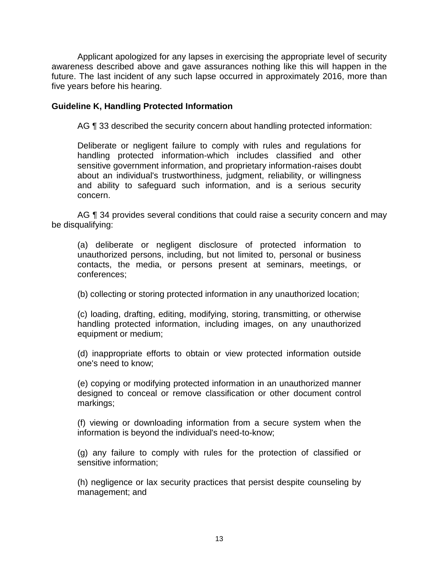Applicant apologized for any lapses in exercising the appropriate level of security awareness described above and gave assurances nothing like this will happen in the future. The last incident of any such lapse occurred in approximately 2016, more than five years before his hearing.

### **Guideline K, Handling Protected Information**

AG ¶ 33 described the security concern about handling protected information:

Deliberate or negligent failure to comply with rules and regulations for handling protected information-which includes classified and other sensitive government information, and proprietary information-raises doubt about an individual's trustworthiness, judgment, reliability, or willingness and ability to safeguard such information, and is a serious security concern.

AG ¶ 34 provides several conditions that could raise a security concern and may be disqualifying:

(a) deliberate or negligent disclosure of protected information to unauthorized persons, including, but not limited to, personal or business contacts, the media, or persons present at seminars, meetings, or conferences;

(b) collecting or storing protected information in any unauthorized location;

(c) loading, drafting, editing, modifying, storing, transmitting, or otherwise handling protected information, including images, on any unauthorized equipment or medium;

(d) inappropriate efforts to obtain or view protected information outside one's need to know;

(e) copying or modifying protected information in an unauthorized manner designed to conceal or remove classification or other document control markings;

(f) viewing or downloading information from a secure system when the information is beyond the individual's need-to-know;

(g) any failure to comply with rules for the protection of classified or sensitive information;

(h) negligence or lax security practices that persist despite counseling by management; and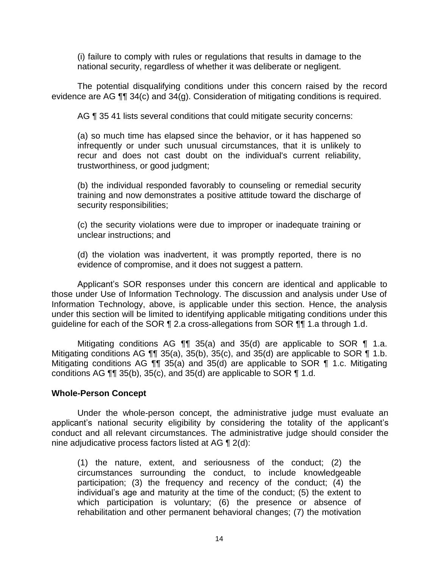(i) failure to comply with rules or regulations that results in damage to the national security, regardless of whether it was deliberate or negligent.

 The potential disqualifying conditions under this concern raised by the record evidence are AG ¶¶ 34(c) and 34(g). Consideration of mitigating conditions is required.

AG ¶ 35 41 lists several conditions that could mitigate security concerns:

(a) so much time has elapsed since the behavior, or it has happened so infrequently or under such unusual circumstances, that it is unlikely to recur and does not cast doubt on the individual's current reliability, trustworthiness, or good judgment;

(b) the individual responded favorably to counseling or remedial security training and now demonstrates a positive attitude toward the discharge of security responsibilities;

(c) the security violations were due to improper or inadequate training or unclear instructions; and

(d) the violation was inadvertent, it was promptly reported, there is no evidence of compromise, and it does not suggest a pattern.

 those under Use of Information Technology. The discussion and analysis under Use of under this section will be limited to identifying applicable mitigating conditions under this Applicant's SOR responses under this concern are identical and applicable to Information Technology, above, is applicable under this section. Hence, the analysis guideline for each of the SOR ¶ 2.a cross-allegations from SOR ¶¶ 1.a through 1.d.

 Mitigating conditions AG ¶¶ 35(a) and 35(d) are applicable to SOR ¶ 1.a. Mitigating conditions AG  $\P$ , 35(a), 35(b), 35(c), and 35(d) are applicable to SOR  $\P$  1.b. Mitigating conditions AG ¶¶ 35(a) and 35(d) are applicable to SOR ¶ 1.c. Mitigating conditions AG  $\P$   $\P$  35(b), 35(c), and 35(d) are applicable to SOR  $\P$  1.d.

# **Whole-Person Concept**

 Under the whole-person concept, the administrative judge must evaluate an applicant's national security eligibility by considering the totality of the applicant's conduct and all relevant circumstances. The administrative judge should consider the nine adjudicative process factors listed at AG ¶ 2(d):

(1) the nature, extent, and seriousness of the conduct; (2) the circumstances surrounding the conduct, to include knowledgeable participation; (3) the frequency and recency of the conduct; (4) the individual's age and maturity at the time of the conduct; (5) the extent to which participation is voluntary; (6) the presence or absence of rehabilitation and other permanent behavioral changes; (7) the motivation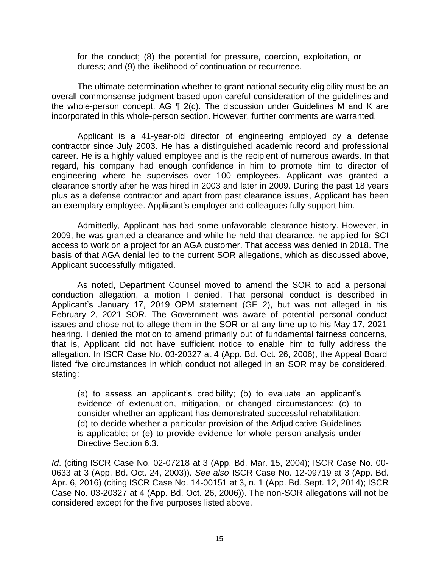for the conduct; (8) the potential for pressure, coercion, exploitation, or duress; and (9) the likelihood of continuation or recurrence.

 overall commonsense judgment based upon careful consideration of the guidelines and the whole-person concept. AG  $\P$  2(c). The discussion under Guidelines M and K are The ultimate determination whether to grant national security eligibility must be an incorporated in this whole-person section. However, further comments are warranted.

 Applicant is a 41-year-old director of engineering employed by a defense contractor since July 2003. He has a distinguished academic record and professional career. He is a highly valued employee and is the recipient of numerous awards. In that regard, his company had enough confidence in him to promote him to director of engineering where he supervises over 100 employees. Applicant was granted a clearance shortly after he was hired in 2003 and later in 2009. During the past 18 years plus as a defense contractor and apart from past clearance issues, Applicant has been an exemplary employee. Applicant's employer and colleagues fully support him.

 Admittedly, Applicant has had some unfavorable clearance history. However, in 2009, he was granted a clearance and while he held that clearance, he applied for SCI access to work on a project for an AGA customer. That access was denied in 2018. The basis of that AGA denial led to the current SOR allegations, which as discussed above, Applicant successfully mitigated.

 As noted, Department Counsel moved to amend the SOR to add a personal conduction allegation, a motion I denied. That personal conduct is described in Applicant's January 17, 2019 OPM statement (GE 2), but was not alleged in his February 2, 2021 SOR. The Government was aware of potential personal conduct issues and chose not to allege them in the SOR or at any time up to his May 17, 2021 hearing. I denied the motion to amend primarily out of fundamental fairness concerns, that is, Applicant did not have sufficient notice to enable him to fully address the allegation. In ISCR Case No. 03-20327 at 4 (App. Bd. Oct. 26, 2006), the Appeal Board listed five circumstances in which conduct not alleged in an SOR may be considered, stating:

 (a) to assess an applicant's credibility; (b) to evaluate an applicant's evidence of extenuation, mitigation, or changed circumstances; (c) to consider whether an applicant has demonstrated successful rehabilitation; (d) to decide whether a particular provision of the Adjudicative Guidelines is applicable; or (e) to provide evidence for whole person analysis under Directive Section 6.3.

*Id*. (citing ISCR Case No. 02-07218 at 3 (App. Bd. Mar. 15, 2004); ISCR Case No. 00- 0633 at 3 (App. Bd. Oct. 24, 2003)). *See also* ISCR Case No. 12-09719 at 3 (App. Bd. Apr. 6, 2016) (citing ISCR Case No. 14-00151 at 3, n. 1 (App. Bd. Sept. 12, 2014); ISCR Case No. 03-20327 at 4 (App. Bd. Oct. 26, 2006)). The non-SOR allegations will not be considered except for the five purposes listed above.